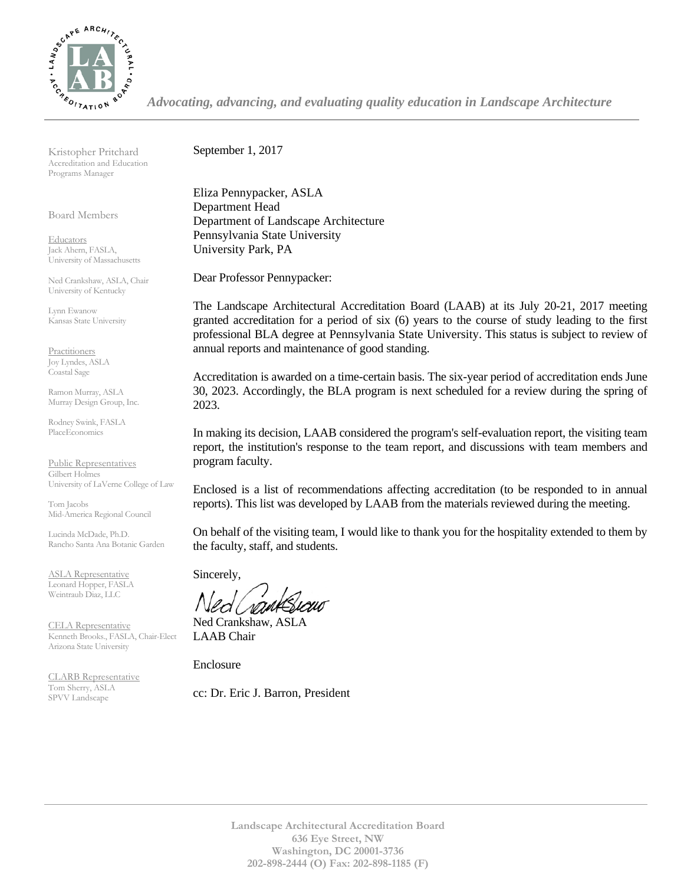

*Advocating, advancing, and evaluating quality education in Landscape Architecture*

Kristopher Pritchard Accreditation and Education Programs Manager

Board Members

**Educators** Jack Ahern, FASLA, University of Massachusetts

Ned Crankshaw, ASLA, Chair University of Kentucky

Lynn Ewanow Kansas State University

**Practitioners** Joy Lyndes, ASLA Coastal Sage

Ramon Murray, ASLA Murray Design Group, Inc.

Rodney Swink, FASLA PlaceEconomics

Public Representatives Gilbert Holmes University of LaVerne College of Law

Tom Jacobs Mid-America Regional Council

Lucinda McDade, Ph.D. Rancho Santa Ana Botanic Garden

ASLA Representative Leonard Hopper, FASLA Weintraub Diaz, LLC

CELA Representative Kenneth Brooks., FASLA, Chair-Elect Arizona State University

CLARB Representative Tom Sherry, ASLA SPVV Landscape

September 1, 2017

Eliza Pennypacker, ASLA Department Head Department of Landscape Architecture Pennsylvania State University University Park, PA

Dear Professor Pennypacker:

The Landscape Architectural Accreditation Board (LAAB) at its July 20-21, 2017 meeting granted accreditation for a period of six (6) years to the course of study leading to the first professional BLA degree at Pennsylvania State University. This status is subject to review of annual reports and maintenance of good standing.

Accreditation is awarded on a time-certain basis. The six-year period of accreditation ends June 30, 2023. Accordingly, the BLA program is next scheduled for a review during the spring of 2023.

In making its decision, LAAB considered the program's self-evaluation report, the visiting team report, the institution's response to the team report, and discussions with team members and program faculty.

Enclosed is a list of recommendations affecting accreditation (to be responded to in annual reports). This list was developed by LAAB from the materials reviewed during the meeting.

On behalf of the visiting team, I would like to thank you for the hospitality extended to them by the faculty, staff, and students.

Sincerely,

Ned Crankshaw, ASLA LAAB Chair

Enclosure

cc: Dr. Eric J. Barron, President